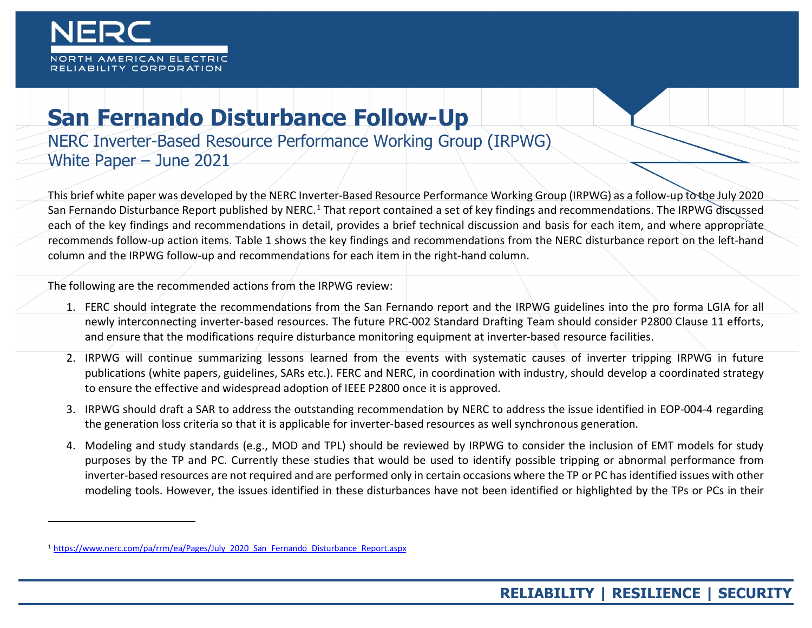<span id="page-0-0"></span>

<u>.</u>

## **San Fernando Disturbance Follow-Up**

NERC Inverter-Based Resource Performance Working Group (IRPWG) White Paper – June 2021

This brief white paper was developed by the NERC Inverter-Based Resource Performance Working Group (IRPWG) as a follow-up to the July 2020 San Fernando Disturbance Report published by NERC.<sup>[1](#page-0-0)</sup> That report contained a set of key findings and recommendations. The IRPWG discussed each of the key findings and recommendations in detail, provides a brief technical discussion and basis for each item, and where appropriate recommends follow-up action items. Table 1 shows the key findings and recommendations from the NERC disturbance report on the left-hand column and the IRPWG follow-up and recommendations for each item in the right-hand column.

The following are the recommended actions from the IRPWG review:

- 1. FERC should integrate the recommendations from the San Fernando report and the IRPWG guidelines into the pro forma LGIA for all newly interconnecting inverter-based resources. The future PRC-002 Standard Drafting Team should consider P2800 Clause 11 efforts, and ensure that the modifications require disturbance monitoring equipment at inverter-based resource facilities.
- 2. IRPWG will continue summarizing lessons learned from the events with systematic causes of inverter tripping IRPWG in future publications (white papers, guidelines, SARs etc.). FERC and NERC, in coordination with industry, should develop a coordinated strategy to ensure the effective and widespread adoption of IEEE P2800 once it is approved.
- 3. IRPWG should draft a SAR to address the outstanding recommendation by NERC to address the issue identified in EOP-004-4 regarding the generation loss criteria so that it is applicable for inverter-based resources as well synchronous generation.
- 4. Modeling and study standards (e.g., MOD and TPL) should be reviewed by IRPWG to consider the inclusion of EMT models for study purposes by the TP and PC. Currently these studies that would be used to identify possible tripping or abnormal performance from inverter-based resources are not required and are performed only in certain occasions where the TP or PC has identified issues with other modeling tools. However, the issues identified in these disturbances have not been identified or highlighted by the TPs or PCs in their

<sup>1</sup> [https://www.nerc.com/pa/rrm/ea/Pages/July\\_2020\\_San\\_Fernando\\_Disturbance\\_Report.aspx](https://www.nerc.com/pa/rrm/ea/Pages/July_2020_San_Fernando_Disturbance_Report.aspx)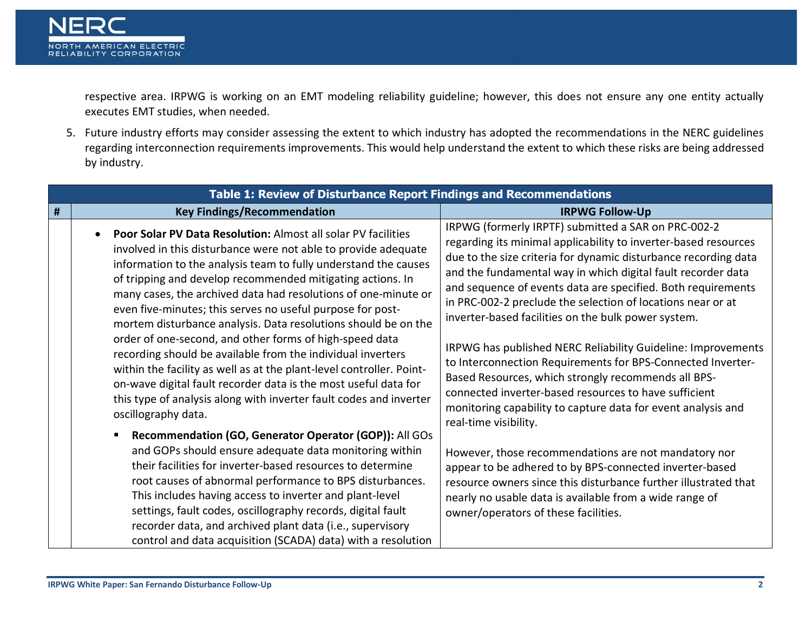

respective area. IRPWG is working on an EMT modeling reliability guideline; however, this does not ensure any one entity actually executes EMT studies, when needed.

5. Future industry efforts may consider assessing the extent to which industry has adopted the recommendations in the NERC guidelines regarding interconnection requirements improvements. This would help understand the extent to which these risks are being addressed by industry.

|   | Table 1: Review of Disturbance Report Findings and Recommendations                                                                                                                                                                                                                                                                                                                                                                                                                                                                                                                                                                                                                                                                                                                                                                   |                                                                                                                                                                                                                                                                                                                                                                                                                                                                                                                                                                                                                                                                                                                                                                |  |
|---|--------------------------------------------------------------------------------------------------------------------------------------------------------------------------------------------------------------------------------------------------------------------------------------------------------------------------------------------------------------------------------------------------------------------------------------------------------------------------------------------------------------------------------------------------------------------------------------------------------------------------------------------------------------------------------------------------------------------------------------------------------------------------------------------------------------------------------------|----------------------------------------------------------------------------------------------------------------------------------------------------------------------------------------------------------------------------------------------------------------------------------------------------------------------------------------------------------------------------------------------------------------------------------------------------------------------------------------------------------------------------------------------------------------------------------------------------------------------------------------------------------------------------------------------------------------------------------------------------------------|--|
| # | <b>Key Findings/Recommendation</b>                                                                                                                                                                                                                                                                                                                                                                                                                                                                                                                                                                                                                                                                                                                                                                                                   | <b>IRPWG Follow-Up</b>                                                                                                                                                                                                                                                                                                                                                                                                                                                                                                                                                                                                                                                                                                                                         |  |
|   | Poor Solar PV Data Resolution: Almost all solar PV facilities<br>involved in this disturbance were not able to provide adequate<br>information to the analysis team to fully understand the causes<br>of tripping and develop recommended mitigating actions. In<br>many cases, the archived data had resolutions of one-minute or<br>even five-minutes; this serves no useful purpose for post-<br>mortem disturbance analysis. Data resolutions should be on the<br>order of one-second, and other forms of high-speed data<br>recording should be available from the individual inverters<br>within the facility as well as at the plant-level controller. Point-<br>on-wave digital fault recorder data is the most useful data for<br>this type of analysis along with inverter fault codes and inverter<br>oscillography data. | IRPWG (formerly IRPTF) submitted a SAR on PRC-002-2<br>regarding its minimal applicability to inverter-based resources<br>due to the size criteria for dynamic disturbance recording data<br>and the fundamental way in which digital fault recorder data<br>and sequence of events data are specified. Both requirements<br>in PRC-002-2 preclude the selection of locations near or at<br>inverter-based facilities on the bulk power system.<br>IRPWG has published NERC Reliability Guideline: Improvements<br>to Interconnection Requirements for BPS-Connected Inverter-<br>Based Resources, which strongly recommends all BPS-<br>connected inverter-based resources to have sufficient<br>monitoring capability to capture data for event analysis and |  |
|   | Recommendation (GO, Generator Operator (GOP)): All GOs<br>and GOPs should ensure adequate data monitoring within<br>their facilities for inverter-based resources to determine<br>root causes of abnormal performance to BPS disturbances.<br>This includes having access to inverter and plant-level<br>settings, fault codes, oscillography records, digital fault<br>recorder data, and archived plant data (i.e., supervisory<br>control and data acquisition (SCADA) data) with a resolution                                                                                                                                                                                                                                                                                                                                    | real-time visibility.<br>However, those recommendations are not mandatory nor<br>appear to be adhered to by BPS-connected inverter-based<br>resource owners since this disturbance further illustrated that<br>nearly no usable data is available from a wide range of<br>owner/operators of these facilities.                                                                                                                                                                                                                                                                                                                                                                                                                                                 |  |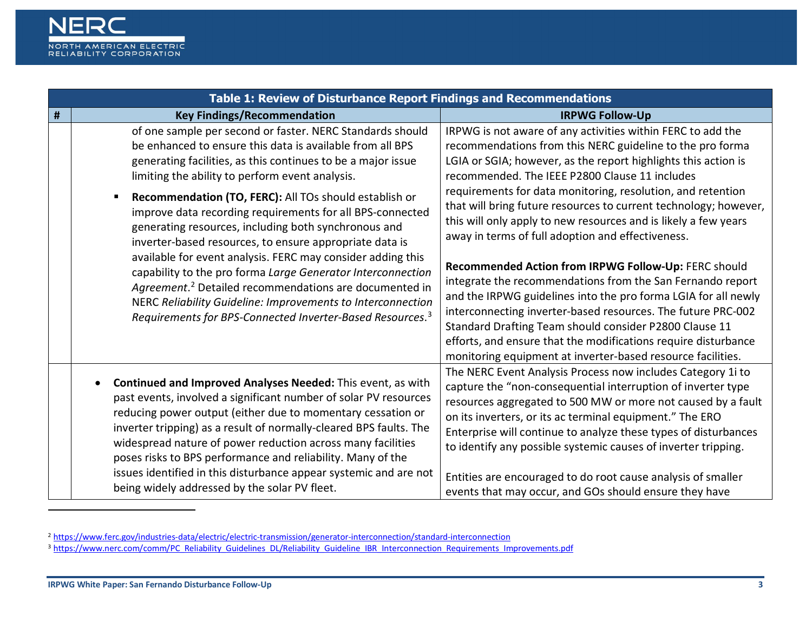<span id="page-2-1"></span><span id="page-2-0"></span>

|   | Table 1: Review of Disturbance Report Findings and Recommendations                                                                                                                                                                                                                                                                                                                                                                                                                                                                                                                                                                                                                                                                                                                                                              |                                                                                                                                                                                                                                                                                                                                                                                                                                                                                                                                                                                                                                                                                                                                                                                                                                                                                                                                                            |  |
|---|---------------------------------------------------------------------------------------------------------------------------------------------------------------------------------------------------------------------------------------------------------------------------------------------------------------------------------------------------------------------------------------------------------------------------------------------------------------------------------------------------------------------------------------------------------------------------------------------------------------------------------------------------------------------------------------------------------------------------------------------------------------------------------------------------------------------------------|------------------------------------------------------------------------------------------------------------------------------------------------------------------------------------------------------------------------------------------------------------------------------------------------------------------------------------------------------------------------------------------------------------------------------------------------------------------------------------------------------------------------------------------------------------------------------------------------------------------------------------------------------------------------------------------------------------------------------------------------------------------------------------------------------------------------------------------------------------------------------------------------------------------------------------------------------------|--|
| # | <b>Key Findings/Recommendation</b>                                                                                                                                                                                                                                                                                                                                                                                                                                                                                                                                                                                                                                                                                                                                                                                              | <b>IRPWG Follow-Up</b>                                                                                                                                                                                                                                                                                                                                                                                                                                                                                                                                                                                                                                                                                                                                                                                                                                                                                                                                     |  |
|   | of one sample per second or faster. NERC Standards should<br>be enhanced to ensure this data is available from all BPS<br>generating facilities, as this continues to be a major issue<br>limiting the ability to perform event analysis.<br>Recommendation (TO, FERC): All TOs should establish or<br>improve data recording requirements for all BPS-connected<br>generating resources, including both synchronous and<br>inverter-based resources, to ensure appropriate data is<br>available for event analysis. FERC may consider adding this<br>capability to the pro forma Large Generator Interconnection<br>Agreement. <sup>2</sup> Detailed recommendations are documented in<br>NERC Reliability Guideline: Improvements to Interconnection<br>Requirements for BPS-Connected Inverter-Based Resources. <sup>3</sup> | IRPWG is not aware of any activities within FERC to add the<br>recommendations from this NERC guideline to the pro forma<br>LGIA or SGIA; however, as the report highlights this action is<br>recommended. The IEEE P2800 Clause 11 includes<br>requirements for data monitoring, resolution, and retention<br>that will bring future resources to current technology; however,<br>this will only apply to new resources and is likely a few years<br>away in terms of full adoption and effectiveness.<br>Recommended Action from IRPWG Follow-Up: FERC should<br>integrate the recommendations from the San Fernando report<br>and the IRPWG guidelines into the pro forma LGIA for all newly<br>interconnecting inverter-based resources. The future PRC-002<br>Standard Drafting Team should consider P2800 Clause 11<br>efforts, and ensure that the modifications require disturbance<br>monitoring equipment at inverter-based resource facilities. |  |
|   | Continued and Improved Analyses Needed: This event, as with<br>past events, involved a significant number of solar PV resources<br>reducing power output (either due to momentary cessation or<br>inverter tripping) as a result of normally-cleared BPS faults. The<br>widespread nature of power reduction across many facilities<br>poses risks to BPS performance and reliability. Many of the<br>issues identified in this disturbance appear systemic and are not<br>being widely addressed by the solar PV fleet.                                                                                                                                                                                                                                                                                                        | The NERC Event Analysis Process now includes Category 1i to<br>capture the "non-consequential interruption of inverter type<br>resources aggregated to 500 MW or more not caused by a fault<br>on its inverters, or its ac terminal equipment." The ERO<br>Enterprise will continue to analyze these types of disturbances<br>to identify any possible systemic causes of inverter tripping.<br>Entities are encouraged to do root cause analysis of smaller<br>events that may occur, and GOs should ensure they have                                                                                                                                                                                                                                                                                                                                                                                                                                     |  |

<sup>2</sup> <https://www.ferc.gov/industries-data/electric/electric-transmission/generator-interconnection/standard-interconnection>

-

<sup>3</sup> [https://www.nerc.com/comm/PC\\_Reliability\\_Guidelines\\_DL/Reliability\\_Guideline\\_IBR\\_Interconnection\\_Requirements\\_Improvements.pdf](https://www.nerc.com/comm/PC_Reliability_Guidelines_DL/Reliability_Guideline_IBR_Interconnection_Requirements_Improvements.pdf)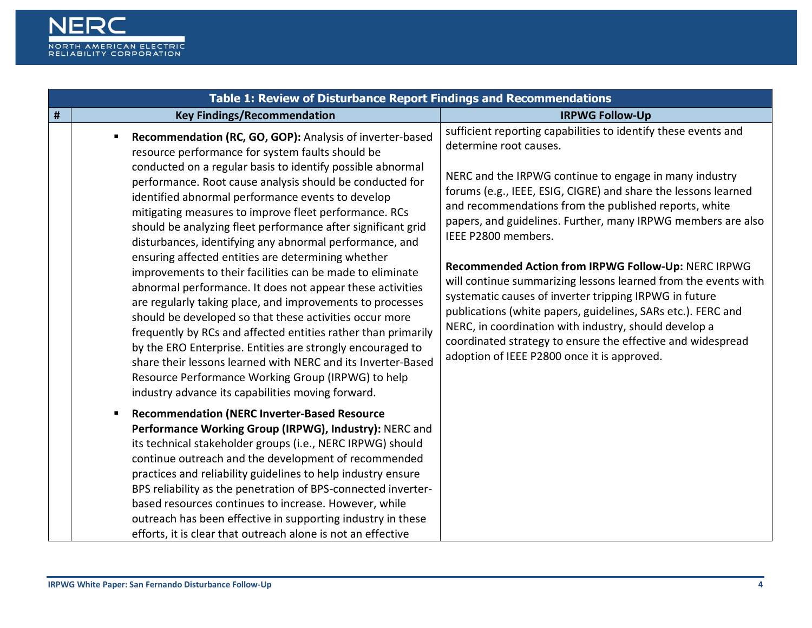

|   | Table 1: Review of Disturbance Report Findings and Recommendations                                                                                                                                                                                                                                                                                                                                                                                                                                                                                                                                                                                                                                                                                                                                                                                                                                                                                                                                                                                                                                |                                                                                                                                                                                                                                                                                                                                                                                                                                                                                                                                                                                                                                                                                                                                                                                                |
|---|---------------------------------------------------------------------------------------------------------------------------------------------------------------------------------------------------------------------------------------------------------------------------------------------------------------------------------------------------------------------------------------------------------------------------------------------------------------------------------------------------------------------------------------------------------------------------------------------------------------------------------------------------------------------------------------------------------------------------------------------------------------------------------------------------------------------------------------------------------------------------------------------------------------------------------------------------------------------------------------------------------------------------------------------------------------------------------------------------|------------------------------------------------------------------------------------------------------------------------------------------------------------------------------------------------------------------------------------------------------------------------------------------------------------------------------------------------------------------------------------------------------------------------------------------------------------------------------------------------------------------------------------------------------------------------------------------------------------------------------------------------------------------------------------------------------------------------------------------------------------------------------------------------|
| # | <b>Key Findings/Recommendation</b>                                                                                                                                                                                                                                                                                                                                                                                                                                                                                                                                                                                                                                                                                                                                                                                                                                                                                                                                                                                                                                                                | <b>IRPWG Follow-Up</b>                                                                                                                                                                                                                                                                                                                                                                                                                                                                                                                                                                                                                                                                                                                                                                         |
|   | Recommendation (RC, GO, GOP): Analysis of inverter-based<br>resource performance for system faults should be<br>conducted on a regular basis to identify possible abnormal<br>performance. Root cause analysis should be conducted for<br>identified abnormal performance events to develop<br>mitigating measures to improve fleet performance. RCs<br>should be analyzing fleet performance after significant grid<br>disturbances, identifying any abnormal performance, and<br>ensuring affected entities are determining whether<br>improvements to their facilities can be made to eliminate<br>abnormal performance. It does not appear these activities<br>are regularly taking place, and improvements to processes<br>should be developed so that these activities occur more<br>frequently by RCs and affected entities rather than primarily<br>by the ERO Enterprise. Entities are strongly encouraged to<br>share their lessons learned with NERC and its Inverter-Based<br>Resource Performance Working Group (IRPWG) to help<br>industry advance its capabilities moving forward. | sufficient reporting capabilities to identify these events and<br>determine root causes.<br>NERC and the IRPWG continue to engage in many industry<br>forums (e.g., IEEE, ESIG, CIGRE) and share the lessons learned<br>and recommendations from the published reports, white<br>papers, and guidelines. Further, many IRPWG members are also<br>IEEE P2800 members.<br>Recommended Action from IRPWG Follow-Up: NERC IRPWG<br>will continue summarizing lessons learned from the events with<br>systematic causes of inverter tripping IRPWG in future<br>publications (white papers, guidelines, SARs etc.). FERC and<br>NERC, in coordination with industry, should develop a<br>coordinated strategy to ensure the effective and widespread<br>adoption of IEEE P2800 once it is approved. |
|   | <b>Recommendation (NERC Inverter-Based Resource</b><br>π.<br>Performance Working Group (IRPWG), Industry): NERC and<br>its technical stakeholder groups (i.e., NERC IRPWG) should<br>continue outreach and the development of recommended<br>practices and reliability guidelines to help industry ensure<br>BPS reliability as the penetration of BPS-connected inverter-<br>based resources continues to increase. However, while<br>outreach has been effective in supporting industry in these<br>efforts, it is clear that outreach alone is not an effective                                                                                                                                                                                                                                                                                                                                                                                                                                                                                                                                |                                                                                                                                                                                                                                                                                                                                                                                                                                                                                                                                                                                                                                                                                                                                                                                                |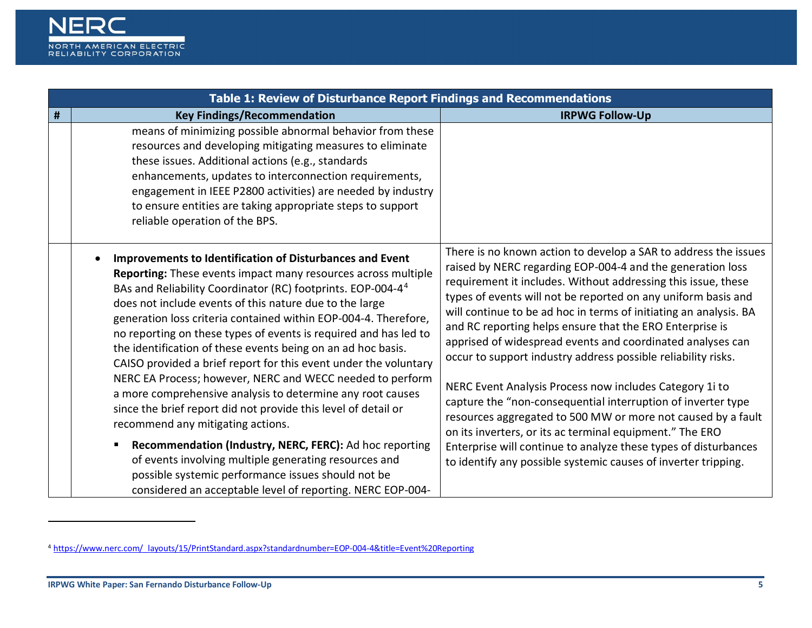<span id="page-4-0"></span>

| Table 1: Review of Disturbance Report Findings and Recommendations |                                                                                                                                                                                                                                                                                                                                                                                                                                                                                                                                                                                                                                                                                                                                                                                                                                                                                                                                                                                                                      |                                                                                                                                                                                                                                                                                                                                                                                                                                                                                                                                                                                                                                                                                                                                                                                                                                                                                                                             |
|--------------------------------------------------------------------|----------------------------------------------------------------------------------------------------------------------------------------------------------------------------------------------------------------------------------------------------------------------------------------------------------------------------------------------------------------------------------------------------------------------------------------------------------------------------------------------------------------------------------------------------------------------------------------------------------------------------------------------------------------------------------------------------------------------------------------------------------------------------------------------------------------------------------------------------------------------------------------------------------------------------------------------------------------------------------------------------------------------|-----------------------------------------------------------------------------------------------------------------------------------------------------------------------------------------------------------------------------------------------------------------------------------------------------------------------------------------------------------------------------------------------------------------------------------------------------------------------------------------------------------------------------------------------------------------------------------------------------------------------------------------------------------------------------------------------------------------------------------------------------------------------------------------------------------------------------------------------------------------------------------------------------------------------------|
| #                                                                  | <b>Key Findings/Recommendation</b>                                                                                                                                                                                                                                                                                                                                                                                                                                                                                                                                                                                                                                                                                                                                                                                                                                                                                                                                                                                   | <b>IRPWG Follow-Up</b>                                                                                                                                                                                                                                                                                                                                                                                                                                                                                                                                                                                                                                                                                                                                                                                                                                                                                                      |
|                                                                    | means of minimizing possible abnormal behavior from these<br>resources and developing mitigating measures to eliminate<br>these issues. Additional actions (e.g., standards<br>enhancements, updates to interconnection requirements,<br>engagement in IEEE P2800 activities) are needed by industry<br>to ensure entities are taking appropriate steps to support<br>reliable operation of the BPS.                                                                                                                                                                                                                                                                                                                                                                                                                                                                                                                                                                                                                 |                                                                                                                                                                                                                                                                                                                                                                                                                                                                                                                                                                                                                                                                                                                                                                                                                                                                                                                             |
|                                                                    | Improvements to Identification of Disturbances and Event<br>Reporting: These events impact many resources across multiple<br>BAs and Reliability Coordinator (RC) footprints. EOP-004-4 <sup>4</sup><br>does not include events of this nature due to the large<br>generation loss criteria contained within EOP-004-4. Therefore,<br>no reporting on these types of events is required and has led to<br>the identification of these events being on an ad hoc basis.<br>CAISO provided a brief report for this event under the voluntary<br>NERC EA Process; however, NERC and WECC needed to perform<br>a more comprehensive analysis to determine any root causes<br>since the brief report did not provide this level of detail or<br>recommend any mitigating actions.<br>Recommendation (Industry, NERC, FERC): Ad hoc reporting<br>of events involving multiple generating resources and<br>possible systemic performance issues should not be<br>considered an acceptable level of reporting. NERC EOP-004- | There is no known action to develop a SAR to address the issues<br>raised by NERC regarding EOP-004-4 and the generation loss<br>requirement it includes. Without addressing this issue, these<br>types of events will not be reported on any uniform basis and<br>will continue to be ad hoc in terms of initiating an analysis. BA<br>and RC reporting helps ensure that the ERO Enterprise is<br>apprised of widespread events and coordinated analyses can<br>occur to support industry address possible reliability risks.<br>NERC Event Analysis Process now includes Category 1i to<br>capture the "non-consequential interruption of inverter type<br>resources aggregated to 500 MW or more not caused by a fault<br>on its inverters, or its ac terminal equipment." The ERO<br>Enterprise will continue to analyze these types of disturbances<br>to identify any possible systemic causes of inverter tripping. |

<u>.</u>

<sup>4</sup> [https://www.nerc.com/\\_layouts/15/PrintStandard.aspx?standardnumber=EOP-004-4&title=Event%20Reporting](https://www.nerc.com/_layouts/15/PrintStandard.aspx?standardnumber=EOP-004-4&title=Event%20Reporting)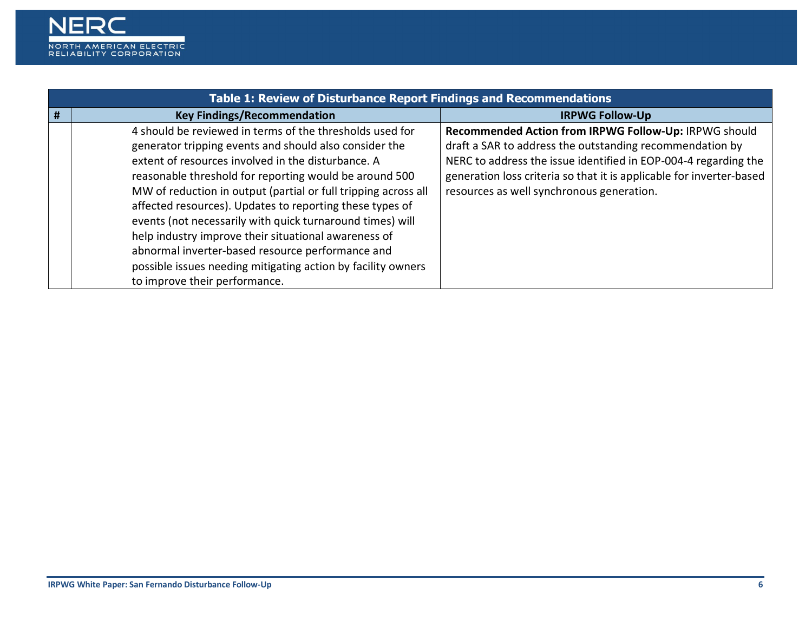

|   | <b>Table 1: Review of Disturbance Report Findings and Recommendations</b>                                                                                                                                                                                                                                                                                                                                                                                                                                                                                                                                                                  |                                                                                                                                                                                                                                                                                                           |  |
|---|--------------------------------------------------------------------------------------------------------------------------------------------------------------------------------------------------------------------------------------------------------------------------------------------------------------------------------------------------------------------------------------------------------------------------------------------------------------------------------------------------------------------------------------------------------------------------------------------------------------------------------------------|-----------------------------------------------------------------------------------------------------------------------------------------------------------------------------------------------------------------------------------------------------------------------------------------------------------|--|
| # | <b>Key Findings/Recommendation</b>                                                                                                                                                                                                                                                                                                                                                                                                                                                                                                                                                                                                         | <b>IRPWG Follow-Up</b>                                                                                                                                                                                                                                                                                    |  |
|   | 4 should be reviewed in terms of the thresholds used for<br>generator tripping events and should also consider the<br>extent of resources involved in the disturbance. A<br>reasonable threshold for reporting would be around 500<br>MW of reduction in output (partial or full tripping across all<br>affected resources). Updates to reporting these types of<br>events (not necessarily with quick turnaround times) will<br>help industry improve their situational awareness of<br>abnormal inverter-based resource performance and<br>possible issues needing mitigating action by facility owners<br>to improve their performance. | Recommended Action from IRPWG Follow-Up: IRPWG should<br>draft a SAR to address the outstanding recommendation by<br>NERC to address the issue identified in EOP-004-4 regarding the<br>generation loss criteria so that it is applicable for inverter-based<br>resources as well synchronous generation. |  |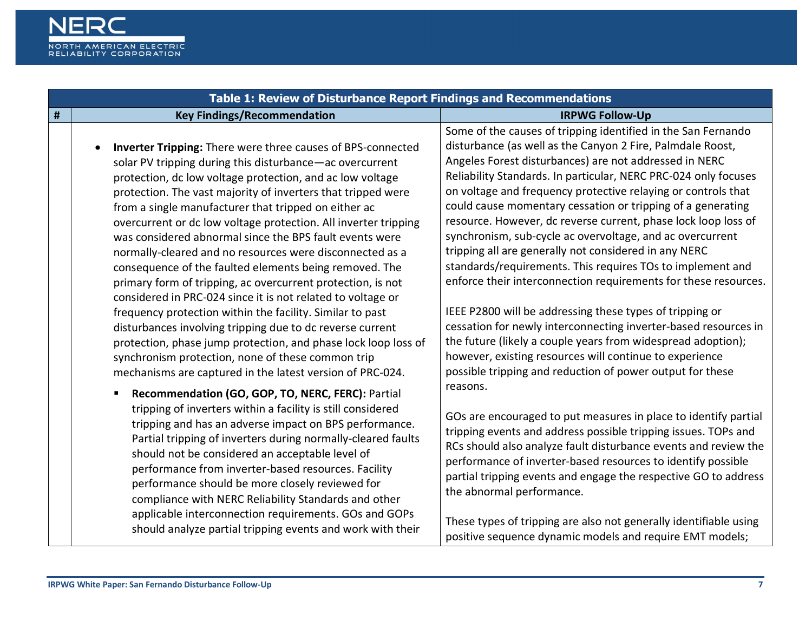

|   | Table 1: Review of Disturbance Report Findings and Recommendations                                                                                                                                                                                                                                                                                                                                                                                                                                                                                                                                                                                                                                                                                                                                                                                                                                                                                                                                                                                                                                                               |                                                                                                                                                                                                                                                                                                                                                                                                                                                                                                                                                                                                                                                                                                                                                                                                                                                                                                                                                                                                                                                                                                                         |  |
|---|----------------------------------------------------------------------------------------------------------------------------------------------------------------------------------------------------------------------------------------------------------------------------------------------------------------------------------------------------------------------------------------------------------------------------------------------------------------------------------------------------------------------------------------------------------------------------------------------------------------------------------------------------------------------------------------------------------------------------------------------------------------------------------------------------------------------------------------------------------------------------------------------------------------------------------------------------------------------------------------------------------------------------------------------------------------------------------------------------------------------------------|-------------------------------------------------------------------------------------------------------------------------------------------------------------------------------------------------------------------------------------------------------------------------------------------------------------------------------------------------------------------------------------------------------------------------------------------------------------------------------------------------------------------------------------------------------------------------------------------------------------------------------------------------------------------------------------------------------------------------------------------------------------------------------------------------------------------------------------------------------------------------------------------------------------------------------------------------------------------------------------------------------------------------------------------------------------------------------------------------------------------------|--|
| # | <b>Key Findings/Recommendation</b>                                                                                                                                                                                                                                                                                                                                                                                                                                                                                                                                                                                                                                                                                                                                                                                                                                                                                                                                                                                                                                                                                               | <b>IRPWG Follow-Up</b>                                                                                                                                                                                                                                                                                                                                                                                                                                                                                                                                                                                                                                                                                                                                                                                                                                                                                                                                                                                                                                                                                                  |  |
|   | Inverter Tripping: There were three causes of BPS-connected<br>solar PV tripping during this disturbance-ac overcurrent<br>protection, dc low voltage protection, and ac low voltage<br>protection. The vast majority of inverters that tripped were<br>from a single manufacturer that tripped on either ac<br>overcurrent or dc low voltage protection. All inverter tripping<br>was considered abnormal since the BPS fault events were<br>normally-cleared and no resources were disconnected as a<br>consequence of the faulted elements being removed. The<br>primary form of tripping, ac overcurrent protection, is not<br>considered in PRC-024 since it is not related to voltage or<br>frequency protection within the facility. Similar to past<br>disturbances involving tripping due to dc reverse current<br>protection, phase jump protection, and phase lock loop loss of<br>synchronism protection, none of these common trip<br>mechanisms are captured in the latest version of PRC-024.<br>Recommendation (GO, GOP, TO, NERC, FERC): Partial<br>tripping of inverters within a facility is still considered | Some of the causes of tripping identified in the San Fernando<br>disturbance (as well as the Canyon 2 Fire, Palmdale Roost,<br>Angeles Forest disturbances) are not addressed in NERC<br>Reliability Standards. In particular, NERC PRC-024 only focuses<br>on voltage and frequency protective relaying or controls that<br>could cause momentary cessation or tripping of a generating<br>resource. However, dc reverse current, phase lock loop loss of<br>synchronism, sub-cycle ac overvoltage, and ac overcurrent<br>tripping all are generally not considered in any NERC<br>standards/requirements. This requires TOs to implement and<br>enforce their interconnection requirements for these resources.<br>IEEE P2800 will be addressing these types of tripping or<br>cessation for newly interconnecting inverter-based resources in<br>the future (likely a couple years from widespread adoption);<br>however, existing resources will continue to experience<br>possible tripping and reduction of power output for these<br>reasons.<br>GOs are encouraged to put measures in place to identify partial |  |
|   | tripping and has an adverse impact on BPS performance.<br>Partial tripping of inverters during normally-cleared faults<br>should not be considered an acceptable level of<br>performance from inverter-based resources. Facility<br>performance should be more closely reviewed for<br>compliance with NERC Reliability Standards and other                                                                                                                                                                                                                                                                                                                                                                                                                                                                                                                                                                                                                                                                                                                                                                                      | tripping events and address possible tripping issues. TOPs and<br>RCs should also analyze fault disturbance events and review the<br>performance of inverter-based resources to identify possible<br>partial tripping events and engage the respective GO to address<br>the abnormal performance.                                                                                                                                                                                                                                                                                                                                                                                                                                                                                                                                                                                                                                                                                                                                                                                                                       |  |
|   | applicable interconnection requirements. GOs and GOPs<br>should analyze partial tripping events and work with their                                                                                                                                                                                                                                                                                                                                                                                                                                                                                                                                                                                                                                                                                                                                                                                                                                                                                                                                                                                                              | These types of tripping are also not generally identifiable using<br>positive sequence dynamic models and require EMT models;                                                                                                                                                                                                                                                                                                                                                                                                                                                                                                                                                                                                                                                                                                                                                                                                                                                                                                                                                                                           |  |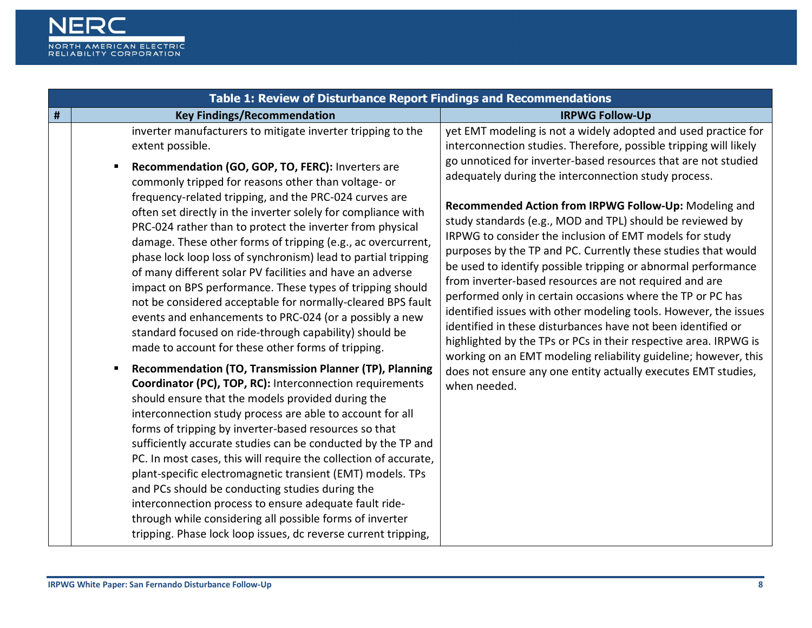

| Table 1: Review of Disturbance Report Findings and Recommendations |                                                                                                                                                                                                                                                                                                                                                                                                                                                                                                                                                                                                                                                                                                                                                                                                                                                                                                                                                                                                                                                                                                                                                                                                                                                                                                                                                                                                                                                                                                                                                                                                                                                     |                                                                                                                                                                                                                                                                                                                                                                                                                                                                                                                                                                                                                                                                                                                                                                                                                                                                                                                                                                                                                                                                      |
|--------------------------------------------------------------------|-----------------------------------------------------------------------------------------------------------------------------------------------------------------------------------------------------------------------------------------------------------------------------------------------------------------------------------------------------------------------------------------------------------------------------------------------------------------------------------------------------------------------------------------------------------------------------------------------------------------------------------------------------------------------------------------------------------------------------------------------------------------------------------------------------------------------------------------------------------------------------------------------------------------------------------------------------------------------------------------------------------------------------------------------------------------------------------------------------------------------------------------------------------------------------------------------------------------------------------------------------------------------------------------------------------------------------------------------------------------------------------------------------------------------------------------------------------------------------------------------------------------------------------------------------------------------------------------------------------------------------------------------------|----------------------------------------------------------------------------------------------------------------------------------------------------------------------------------------------------------------------------------------------------------------------------------------------------------------------------------------------------------------------------------------------------------------------------------------------------------------------------------------------------------------------------------------------------------------------------------------------------------------------------------------------------------------------------------------------------------------------------------------------------------------------------------------------------------------------------------------------------------------------------------------------------------------------------------------------------------------------------------------------------------------------------------------------------------------------|
| $\#$                                                               | <b>Key Findings/Recommendation</b>                                                                                                                                                                                                                                                                                                                                                                                                                                                                                                                                                                                                                                                                                                                                                                                                                                                                                                                                                                                                                                                                                                                                                                                                                                                                                                                                                                                                                                                                                                                                                                                                                  | <b>IRPWG Follow-Up</b>                                                                                                                                                                                                                                                                                                                                                                                                                                                                                                                                                                                                                                                                                                                                                                                                                                                                                                                                                                                                                                               |
|                                                                    | inverter manufacturers to mitigate inverter tripping to the<br>extent possible.<br>Recommendation (GO, GOP, TO, FERC): Inverters are<br>commonly tripped for reasons other than voltage- or<br>frequency-related tripping, and the PRC-024 curves are<br>often set directly in the inverter solely for compliance with<br>PRC-024 rather than to protect the inverter from physical<br>damage. These other forms of tripping (e.g., ac overcurrent,<br>phase lock loop loss of synchronism) lead to partial tripping<br>of many different solar PV facilities and have an adverse<br>impact on BPS performance. These types of tripping should<br>not be considered acceptable for normally-cleared BPS fault<br>events and enhancements to PRC-024 (or a possibly a new<br>standard focused on ride-through capability) should be<br>made to account for these other forms of tripping.<br>Recommendation (TO, Transmission Planner (TP), Planning<br>п<br><b>Coordinator (PC), TOP, RC):</b> Interconnection requirements<br>should ensure that the models provided during the<br>interconnection study process are able to account for all<br>forms of tripping by inverter-based resources so that<br>sufficiently accurate studies can be conducted by the TP and<br>PC. In most cases, this will require the collection of accurate,<br>plant-specific electromagnetic transient (EMT) models. TPs<br>and PCs should be conducting studies during the<br>interconnection process to ensure adequate fault ride-<br>through while considering all possible forms of inverter<br>tripping. Phase lock loop issues, dc reverse current tripping, | yet EMT modeling is not a widely adopted and used practice for<br>interconnection studies. Therefore, possible tripping will likely<br>go unnoticed for inverter-based resources that are not studied<br>adequately during the interconnection study process.<br>Recommended Action from IRPWG Follow-Up: Modeling and<br>study standards (e.g., MOD and TPL) should be reviewed by<br>IRPWG to consider the inclusion of EMT models for study<br>purposes by the TP and PC. Currently these studies that would<br>be used to identify possible tripping or abnormal performance<br>from inverter-based resources are not required and are<br>performed only in certain occasions where the TP or PC has<br>identified issues with other modeling tools. However, the issues<br>identified in these disturbances have not been identified or<br>highlighted by the TPs or PCs in their respective area. IRPWG is<br>working on an EMT modeling reliability guideline; however, this<br>does not ensure any one entity actually executes EMT studies,<br>when needed. |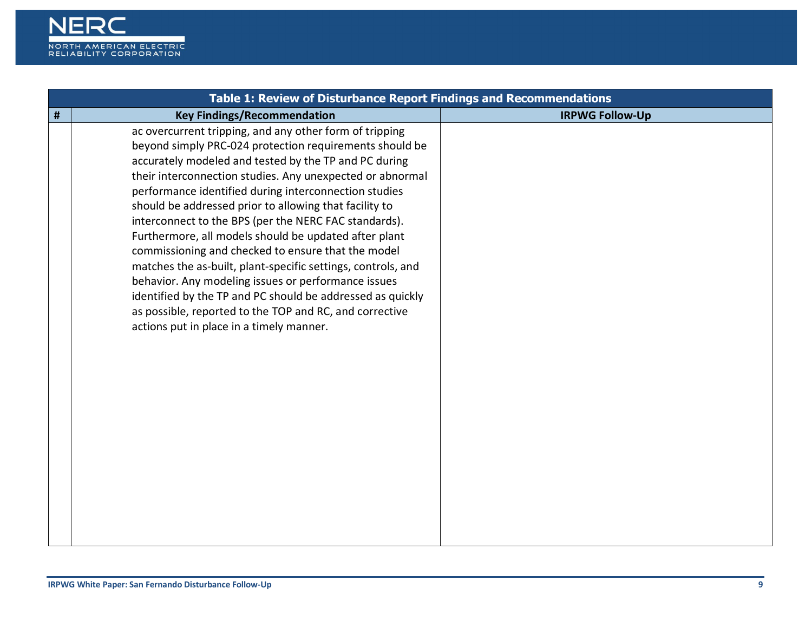

| Table 1: Review of Disturbance Report Findings and Recommendations |                                                                                                                                                                                                                                                                                                                                                                                                                                                                                                                                                                                                                                                                                                                                                                                                                                 |                        |
|--------------------------------------------------------------------|---------------------------------------------------------------------------------------------------------------------------------------------------------------------------------------------------------------------------------------------------------------------------------------------------------------------------------------------------------------------------------------------------------------------------------------------------------------------------------------------------------------------------------------------------------------------------------------------------------------------------------------------------------------------------------------------------------------------------------------------------------------------------------------------------------------------------------|------------------------|
| #                                                                  | <b>Key Findings/Recommendation</b>                                                                                                                                                                                                                                                                                                                                                                                                                                                                                                                                                                                                                                                                                                                                                                                              | <b>IRPWG Follow-Up</b> |
|                                                                    | ac overcurrent tripping, and any other form of tripping<br>beyond simply PRC-024 protection requirements should be<br>accurately modeled and tested by the TP and PC during<br>their interconnection studies. Any unexpected or abnormal<br>performance identified during interconnection studies<br>should be addressed prior to allowing that facility to<br>interconnect to the BPS (per the NERC FAC standards).<br>Furthermore, all models should be updated after plant<br>commissioning and checked to ensure that the model<br>matches the as-built, plant-specific settings, controls, and<br>behavior. Any modeling issues or performance issues<br>identified by the TP and PC should be addressed as quickly<br>as possible, reported to the TOP and RC, and corrective<br>actions put in place in a timely manner. |                        |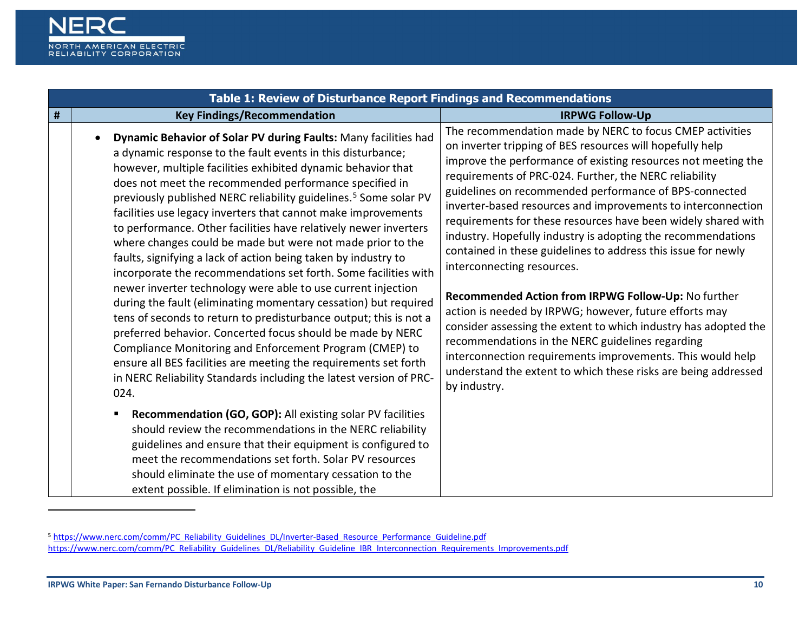<span id="page-9-0"></span>

| Table 1: Review of Disturbance Report Findings and Recommendations |                                                                                                                                                                                                                                                                                                                                                                                                                                                                                                                                                                                                                                                                                                                                                                                                                                                                                                                                                                                                                                                                                                                                                                     |                                                                                                                                                                                                                                                                                                                                                                                                                                                                                                                                                                                                                                                                                                                                                                                                                                                                                                                                                                                                    |
|--------------------------------------------------------------------|---------------------------------------------------------------------------------------------------------------------------------------------------------------------------------------------------------------------------------------------------------------------------------------------------------------------------------------------------------------------------------------------------------------------------------------------------------------------------------------------------------------------------------------------------------------------------------------------------------------------------------------------------------------------------------------------------------------------------------------------------------------------------------------------------------------------------------------------------------------------------------------------------------------------------------------------------------------------------------------------------------------------------------------------------------------------------------------------------------------------------------------------------------------------|----------------------------------------------------------------------------------------------------------------------------------------------------------------------------------------------------------------------------------------------------------------------------------------------------------------------------------------------------------------------------------------------------------------------------------------------------------------------------------------------------------------------------------------------------------------------------------------------------------------------------------------------------------------------------------------------------------------------------------------------------------------------------------------------------------------------------------------------------------------------------------------------------------------------------------------------------------------------------------------------------|
| #                                                                  | <b>Key Findings/Recommendation</b>                                                                                                                                                                                                                                                                                                                                                                                                                                                                                                                                                                                                                                                                                                                                                                                                                                                                                                                                                                                                                                                                                                                                  | <b>IRPWG Follow-Up</b>                                                                                                                                                                                                                                                                                                                                                                                                                                                                                                                                                                                                                                                                                                                                                                                                                                                                                                                                                                             |
|                                                                    | Dynamic Behavior of Solar PV during Faults: Many facilities had<br>a dynamic response to the fault events in this disturbance;<br>however, multiple facilities exhibited dynamic behavior that<br>does not meet the recommended performance specified in<br>previously published NERC reliability guidelines. <sup>5</sup> Some solar PV<br>facilities use legacy inverters that cannot make improvements<br>to performance. Other facilities have relatively newer inverters<br>where changes could be made but were not made prior to the<br>faults, signifying a lack of action being taken by industry to<br>incorporate the recommendations set forth. Some facilities with<br>newer inverter technology were able to use current injection<br>during the fault (eliminating momentary cessation) but required<br>tens of seconds to return to predisturbance output; this is not a<br>preferred behavior. Concerted focus should be made by NERC<br>Compliance Monitoring and Enforcement Program (CMEP) to<br>ensure all BES facilities are meeting the requirements set forth<br>in NERC Reliability Standards including the latest version of PRC-<br>024. | The recommendation made by NERC to focus CMEP activities<br>on inverter tripping of BES resources will hopefully help<br>improve the performance of existing resources not meeting the<br>requirements of PRC-024. Further, the NERC reliability<br>guidelines on recommended performance of BPS-connected<br>inverter-based resources and improvements to interconnection<br>requirements for these resources have been widely shared with<br>industry. Hopefully industry is adopting the recommendations<br>contained in these guidelines to address this issue for newly<br>interconnecting resources.<br>Recommended Action from IRPWG Follow-Up: No further<br>action is needed by IRPWG; however, future efforts may<br>consider assessing the extent to which industry has adopted the<br>recommendations in the NERC guidelines regarding<br>interconnection requirements improvements. This would help<br>understand the extent to which these risks are being addressed<br>by industry. |
|                                                                    | Recommendation (GO, GOP): All existing solar PV facilities<br>should review the recommendations in the NERC reliability<br>guidelines and ensure that their equipment is configured to<br>meet the recommendations set forth. Solar PV resources<br>should eliminate the use of momentary cessation to the<br>extent possible. If elimination is not possible, the                                                                                                                                                                                                                                                                                                                                                                                                                                                                                                                                                                                                                                                                                                                                                                                                  |                                                                                                                                                                                                                                                                                                                                                                                                                                                                                                                                                                                                                                                                                                                                                                                                                                                                                                                                                                                                    |

-

<sup>5</sup> [https://www.nerc.com/comm/PC\\_Reliability\\_Guidelines\\_DL/Inverter-Based\\_Resource\\_Performance\\_Guideline.pdf](https://www.nerc.com/comm/PC_Reliability_Guidelines_DL/Inverter-Based_Resource_Performance_Guideline.pdf) [https://www.nerc.com/comm/PC\\_Reliability\\_Guidelines\\_DL/Reliability\\_Guideline\\_IBR\\_Interconnection\\_Requirements\\_Improvements.pdf](https://www.nerc.com/comm/PC_Reliability_Guidelines_DL/Reliability_Guideline_IBR_Interconnection_Requirements_Improvements.pdf)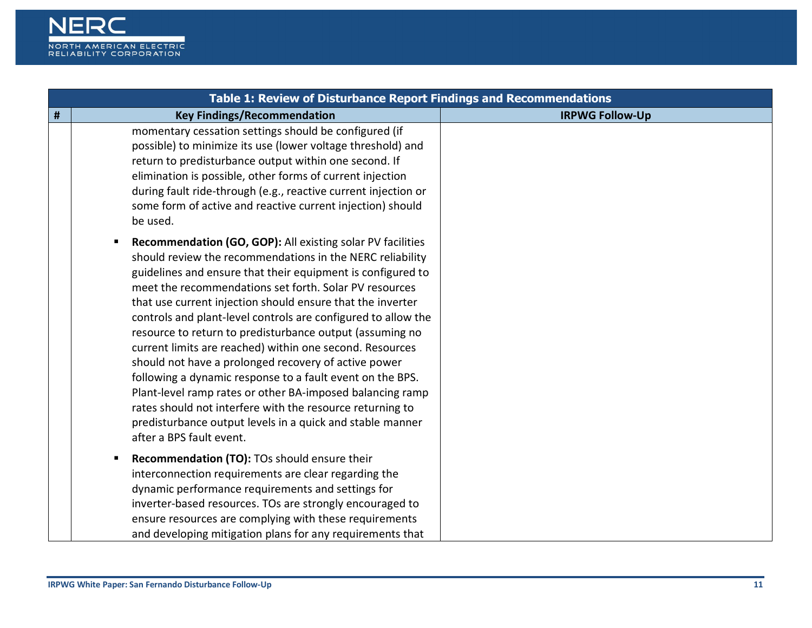

|   | Table 1: Review of Disturbance Report Findings and Recommendations                                                                                                                                                                                                                                                                                                                                                                                                                                                                                                                                                                                                                                                                                                                                                                              |                        |
|---|-------------------------------------------------------------------------------------------------------------------------------------------------------------------------------------------------------------------------------------------------------------------------------------------------------------------------------------------------------------------------------------------------------------------------------------------------------------------------------------------------------------------------------------------------------------------------------------------------------------------------------------------------------------------------------------------------------------------------------------------------------------------------------------------------------------------------------------------------|------------------------|
| # | <b>Key Findings/Recommendation</b>                                                                                                                                                                                                                                                                                                                                                                                                                                                                                                                                                                                                                                                                                                                                                                                                              | <b>IRPWG Follow-Up</b> |
|   | momentary cessation settings should be configured (if<br>possible) to minimize its use (lower voltage threshold) and<br>return to predisturbance output within one second. If<br>elimination is possible, other forms of current injection<br>during fault ride-through (e.g., reactive current injection or<br>some form of active and reactive current injection) should<br>be used.                                                                                                                                                                                                                                                                                                                                                                                                                                                          |                        |
|   | Recommendation (GO, GOP): All existing solar PV facilities<br>should review the recommendations in the NERC reliability<br>guidelines and ensure that their equipment is configured to<br>meet the recommendations set forth. Solar PV resources<br>that use current injection should ensure that the inverter<br>controls and plant-level controls are configured to allow the<br>resource to return to predisturbance output (assuming no<br>current limits are reached) within one second. Resources<br>should not have a prolonged recovery of active power<br>following a dynamic response to a fault event on the BPS.<br>Plant-level ramp rates or other BA-imposed balancing ramp<br>rates should not interfere with the resource returning to<br>predisturbance output levels in a quick and stable manner<br>after a BPS fault event. |                        |
|   | Recommendation (TO): TOs should ensure their<br>interconnection requirements are clear regarding the<br>dynamic performance requirements and settings for<br>inverter-based resources. TOs are strongly encouraged to<br>ensure resources are complying with these requirements<br>and developing mitigation plans for any requirements that                                                                                                                                                                                                                                                                                                                                                                                                                                                                                                    |                        |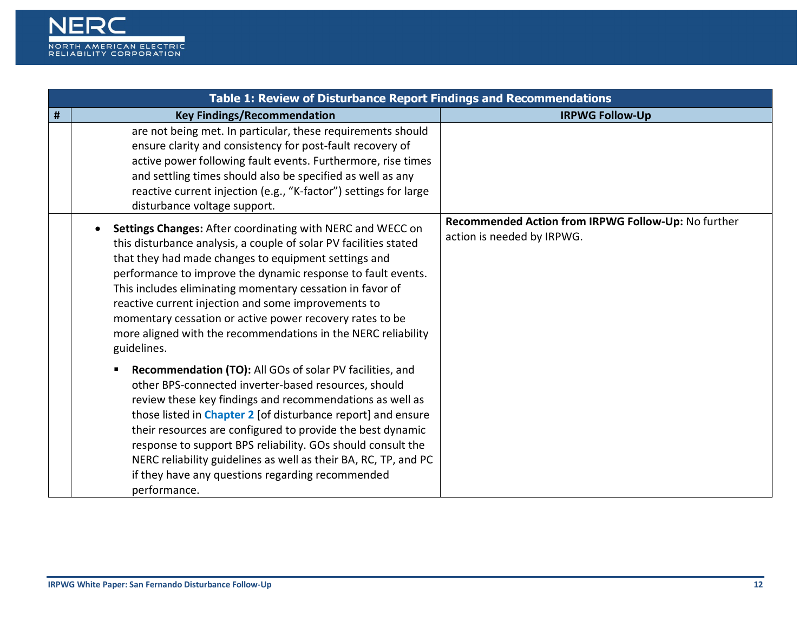

|   | Table 1: Review of Disturbance Report Findings and Recommendations                                                                                                                                                                                                                                                                                                                                                                                                                                                      |                                                                                   |
|---|-------------------------------------------------------------------------------------------------------------------------------------------------------------------------------------------------------------------------------------------------------------------------------------------------------------------------------------------------------------------------------------------------------------------------------------------------------------------------------------------------------------------------|-----------------------------------------------------------------------------------|
| # | <b>Key Findings/Recommendation</b>                                                                                                                                                                                                                                                                                                                                                                                                                                                                                      | <b>IRPWG Follow-Up</b>                                                            |
|   | are not being met. In particular, these requirements should<br>ensure clarity and consistency for post-fault recovery of<br>active power following fault events. Furthermore, rise times<br>and settling times should also be specified as well as any<br>reactive current injection (e.g., "K-factor") settings for large<br>disturbance voltage support.                                                                                                                                                              |                                                                                   |
|   | Settings Changes: After coordinating with NERC and WECC on<br>this disturbance analysis, a couple of solar PV facilities stated<br>that they had made changes to equipment settings and<br>performance to improve the dynamic response to fault events.<br>This includes eliminating momentary cessation in favor of<br>reactive current injection and some improvements to<br>momentary cessation or active power recovery rates to be<br>more aligned with the recommendations in the NERC reliability<br>guidelines. | Recommended Action from IRPWG Follow-Up: No further<br>action is needed by IRPWG. |
|   | <b>Recommendation (TO):</b> All GOs of solar PV facilities, and<br>other BPS-connected inverter-based resources, should<br>review these key findings and recommendations as well as<br>those listed in Chapter 2 [of disturbance report] and ensure<br>their resources are configured to provide the best dynamic<br>response to support BPS reliability. GOs should consult the<br>NERC reliability guidelines as well as their BA, RC, TP, and PC<br>if they have any questions regarding recommended<br>performance. |                                                                                   |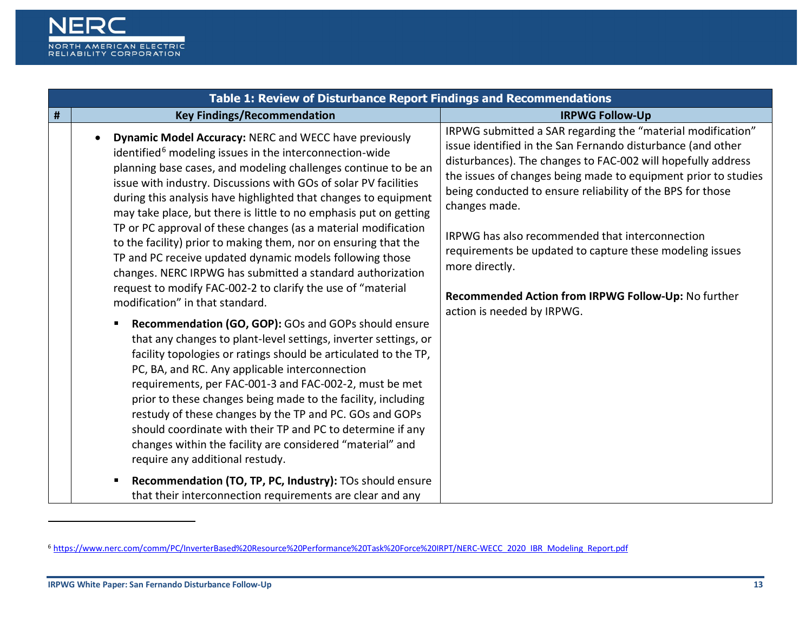<span id="page-12-0"></span>

|   | Table 1: Review of Disturbance Report Findings and Recommendations                                                                                                                                                                                                                                                                                                                                                                                                                                                                                                                                                                                                                                                                                                                                                                                                                                                                                                                                                                                                                                                                                                                                                                                                                                                                                                             |                                                                                                                                                                                                                                                                                                                                                                                                                                                                                                                                                                   |  |
|---|--------------------------------------------------------------------------------------------------------------------------------------------------------------------------------------------------------------------------------------------------------------------------------------------------------------------------------------------------------------------------------------------------------------------------------------------------------------------------------------------------------------------------------------------------------------------------------------------------------------------------------------------------------------------------------------------------------------------------------------------------------------------------------------------------------------------------------------------------------------------------------------------------------------------------------------------------------------------------------------------------------------------------------------------------------------------------------------------------------------------------------------------------------------------------------------------------------------------------------------------------------------------------------------------------------------------------------------------------------------------------------|-------------------------------------------------------------------------------------------------------------------------------------------------------------------------------------------------------------------------------------------------------------------------------------------------------------------------------------------------------------------------------------------------------------------------------------------------------------------------------------------------------------------------------------------------------------------|--|
| # | <b>Key Findings/Recommendation</b>                                                                                                                                                                                                                                                                                                                                                                                                                                                                                                                                                                                                                                                                                                                                                                                                                                                                                                                                                                                                                                                                                                                                                                                                                                                                                                                                             | <b>IRPWG Follow-Up</b>                                                                                                                                                                                                                                                                                                                                                                                                                                                                                                                                            |  |
|   | Dynamic Model Accuracy: NERC and WECC have previously<br>identified <sup>6</sup> modeling issues in the interconnection-wide<br>planning base cases, and modeling challenges continue to be an<br>issue with industry. Discussions with GOs of solar PV facilities<br>during this analysis have highlighted that changes to equipment<br>may take place, but there is little to no emphasis put on getting<br>TP or PC approval of these changes (as a material modification<br>to the facility) prior to making them, nor on ensuring that the<br>TP and PC receive updated dynamic models following those<br>changes. NERC IRPWG has submitted a standard authorization<br>request to modify FAC-002-2 to clarify the use of "material<br>modification" in that standard.<br>Recommendation (GO, GOP): GOs and GOPs should ensure<br>that any changes to plant-level settings, inverter settings, or<br>facility topologies or ratings should be articulated to the TP,<br>PC, BA, and RC. Any applicable interconnection<br>requirements, per FAC-001-3 and FAC-002-2, must be met<br>prior to these changes being made to the facility, including<br>restudy of these changes by the TP and PC. GOs and GOPs<br>should coordinate with their TP and PC to determine if any<br>changes within the facility are considered "material" and<br>require any additional restudy. | IRPWG submitted a SAR regarding the "material modification"<br>issue identified in the San Fernando disturbance (and other<br>disturbances). The changes to FAC-002 will hopefully address<br>the issues of changes being made to equipment prior to studies<br>being conducted to ensure reliability of the BPS for those<br>changes made.<br>IRPWG has also recommended that interconnection<br>requirements be updated to capture these modeling issues<br>more directly.<br>Recommended Action from IRPWG Follow-Up: No further<br>action is needed by IRPWG. |  |
|   | Recommendation (TO, TP, PC, Industry): TOs should ensure<br>that their interconnection requirements are clear and any                                                                                                                                                                                                                                                                                                                                                                                                                                                                                                                                                                                                                                                                                                                                                                                                                                                                                                                                                                                                                                                                                                                                                                                                                                                          |                                                                                                                                                                                                                                                                                                                                                                                                                                                                                                                                                                   |  |

<u>.</u>

<sup>6</sup> [https://www.nerc.com/comm/PC/InverterBased%20Resource%20Performance%20Task%20Force%20IRPT/NERC-WECC\\_2020\\_IBR\\_Modeling\\_Report.pdf](https://www.nerc.com/comm/PC/InverterBased%20Resource%20Performance%20Task%20Force%20IRPT/NERC-WECC_2020_IBR_Modeling_Report.pdf)